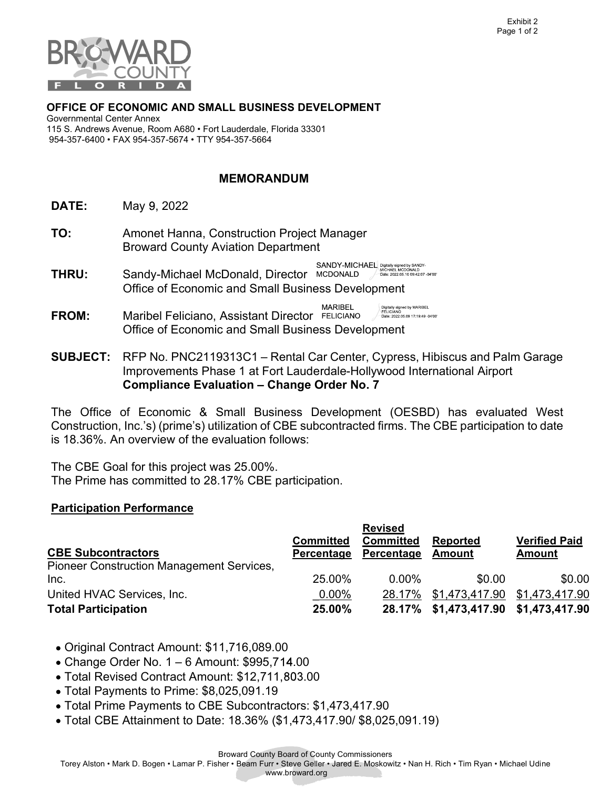

## OFFICE OF ECONOMIC AND SMALL BUSINESS DEVELOPMENT

 115 S. Andrews Avenue, Room A680 • Fort Lauderdale, Florida 33301 954-357-6400 • FAX 954-357-5674 • TTY 954-357-5664 Governmental Center Annex

## MEMORANDUM

- **DATE:** May 9, 2022
- **TO:** Amonet Hanna, Construction Project Manager Broward County Aviation Department
- SANDY-MICHAEL Digitally signed by SANDY-<br>MCDONALD / Date: 2022.05.10 09:42:07 -04'00' THRU: Sandy-Michael McDonald, Director Office of Economic and Small Business Development
- **MARIBEL** Digitally signed by MARIBEL<br>FELICIANO<br>Date: 2022.05.09 17:19:49 -04'00 FROM: Maribel Feliciano, Assistant Director Office of Economic and Small Business Development
- SUBJECT: RFP No. PNC2119313C1 Rental Car Center, Cypress, Hibiscus and Palm Garage Improvements Phase 1 at Fort Lauderdale-Hollywood International Airport Compliance Evaluation – Change Order No. 7

 The Office of Economic & Small Business Development (OESBD) has evaluated West Construction, Inc.'s) (prime's) utilization of CBE subcontracted firms. The CBE participation to date is 18.36%. An overview of the evaluation follows:

 The CBE Goal for this project was 25.00%. The Prime has committed to 28.17% CBE participation.

## Participation Performance

|                                                  |                  | <b>Revised</b>   |                                      |                      |
|--------------------------------------------------|------------------|------------------|--------------------------------------|----------------------|
|                                                  | <b>Committed</b> | <b>Committed</b> | <b>Reported</b>                      | <b>Verified Paid</b> |
| <b>CBE Subcontractors</b>                        | Percentage       | Percentage       | Amount                               | <b>Amount</b>        |
| <b>Pioneer Construction Management Services,</b> |                  |                  |                                      |                      |
| Inc.                                             | 25.00%           | $0.00\%$         | \$0.00                               | \$0.00               |
| United HVAC Services, Inc.                       | $0.00\%$         | 28.17%           | \$1,473,417.90 \$1,473,417.90        |                      |
| <b>Total Participation</b>                       | 25.00%           |                  | 28.17% \$1,473,417.90 \$1,473,417.90 |                      |

- Original Contract Amount: \$11,716,089.00
- Change Order No. 1 6 Amount: \$995,7 .00
- Total Revised Contract Amount: \$12,711, .00
- Total Payments to Prime: \$8,025,091.19
- Total Prime Payments to CBE Subcontractors: \$[1,473,417.90](https://1,473,417.90)
- Total CBE Attainment to Date: 18.36% (\$[1,473,417.90/](https://1,473,417.90) \$[8,025,091.19\)](https://8,025,091.19)

Broward County Board of County Commissioners

Torey Alston • Mark D. Bogen • Lamar P. Fisher • Beam Furr • Steve Geller • Jared E. Moskowitz • Nan H. Rich • Tim Ryan • Michael Udine

www.broward.org